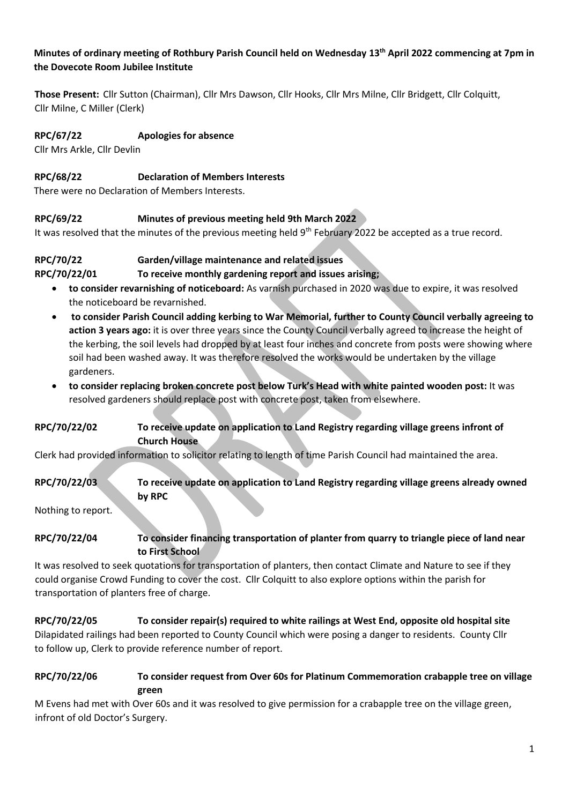#### **Minutes of ordinary meeting of Rothbury Parish Council held on Wednesday 13th April 2022 commencing at 7pm in the Dovecote Room Jubilee Institute**

**Those Present:** Cllr Sutton (Chairman), Cllr Mrs Dawson, Cllr Hooks, Cllr Mrs Milne, Cllr Bridgett, Cllr Colquitt, Cllr Milne, C Miller (Clerk)

#### **RPC/67/22 Apologies for absence**

Cllr Mrs Arkle, Cllr Devlin

#### **RPC/68/22 Declaration of Members Interests**

There were no Declaration of Members Interests.

#### **RPC/69/22 Minutes of previous meeting held 9th March 2022**

It was resolved that the minutes of the previous meeting held 9<sup>th</sup> February 2022 be accepted as a true record.

#### **RPC/70/22 Garden/village maintenance and related issues**

#### **RPC/70/22/01 To receive monthly gardening report and issues arising;**

- **to consider revarnishing of noticeboard:** As varnish purchased in 2020 was due to expire, it was resolved the noticeboard be revarnished.
- **to consider Parish Council adding kerbing to War Memorial, further to County Council verbally agreeing to action 3 years ago:** it is over three years since the County Council verbally agreed to increase the height of the kerbing, the soil levels had dropped by at least four inches and concrete from posts were showing where soil had been washed away. It was therefore resolved the works would be undertaken by the village gardeners.
- **to consider replacing broken concrete post below Turk's Head with white painted wooden post:** It was resolved gardeners should replace post with concrete post, taken from elsewhere.

#### **RPC/70/22/02 To receive update on application to Land Registry regarding village greens infront of Church House**

Clerk had provided information to solicitor relating to length of time Parish Council had maintained the area.

### **RPC/70/22/03 To receive update on application to Land Registry regarding village greens already owned by RPC**

Nothing to report.

#### **RPC/70/22/04 To consider financing transportation of planter from quarry to triangle piece of land near to First School**

It was resolved to seek quotations for transportation of planters, then contact Climate and Nature to see if they could organise Crowd Funding to cover the cost. Cllr Colquitt to also explore options within the parish for transportation of planters free of charge.

## **RPC/70/22/05 To consider repair(s) required to white railings at West End, opposite old hospital site** Dilapidated railings had been reported to County Council which were posing a danger to residents. County Cllr to follow up, Clerk to provide reference number of report.

#### **RPC/70/22/06 To consider request from Over 60s for Platinum Commemoration crabapple tree on village green**

M Evens had met with Over 60s and it was resolved to give permission for a crabapple tree on the village green, infront of old Doctor's Surgery.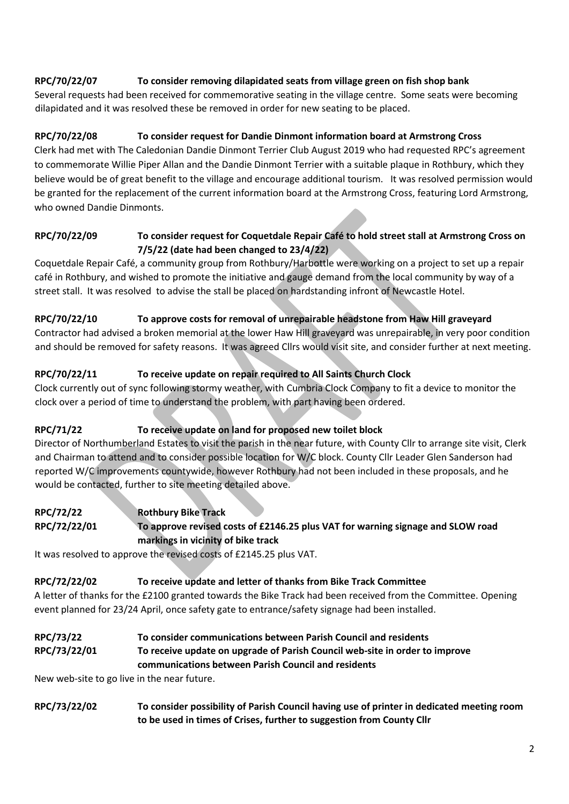### **RPC/70/22/07 To consider removing dilapidated seats from village green on fish shop bank**

Several requests had been received for commemorative seating in the village centre. Some seats were becoming dilapidated and it was resolved these be removed in order for new seating to be placed.

#### **RPC/70/22/08 To consider request for Dandie Dinmont information board at Armstrong Cross**

Clerk had met with The Caledonian Dandie Dinmont Terrier Club August 2019 who had requested RPC's agreement to commemorate Willie Piper Allan and the Dandie Dinmont Terrier with a suitable plaque in Rothbury, which they believe would be of great benefit to the village and encourage additional tourism. It was resolved permission would be granted for the replacement of the current information board at the Armstrong Cross, featuring Lord Armstrong, who owned Dandie Dinmonts.

#### **RPC/70/22/09 To consider request for Coquetdale Repair Café to hold street stall at Armstrong Cross on 7/5/22 (date had been changed to 23/4/22)**

Coquetdale Repair Café, a community group from Rothbury/Harbottle were working on a project to set up a repair café in Rothbury, and wished to promote the initiative and gauge demand from the local community by way of a street stall. It was resolved to advise the stall be placed on hardstanding infront of Newcastle Hotel.

#### **RPC/70/22/10 To approve costs for removal of unrepairable headstone from Haw Hill graveyard**

Contractor had advised a broken memorial at the lower Haw Hill graveyard was unrepairable, in very poor condition and should be removed for safety reasons. It was agreed Cllrs would visit site, and consider further at next meeting.

#### **RPC/70/22/11 To receive update on repair required to All Saints Church Clock**

Clock currently out of sync following stormy weather, with Cumbria Clock Company to fit a device to monitor the clock over a period of time to understand the problem, with part having been ordered.

#### **RPC/71/22 To receive update on land for proposed new toilet block**

Director of Northumberland Estates to visit the parish in the near future, with County Cllr to arrange site visit, Clerk and Chairman to attend and to consider possible location for W/C block. County Cllr Leader Glen Sanderson had reported W/C improvements countywide, however Rothbury had not been included in these proposals, and he would be contacted, further to site meeting detailed above.

### **RPC/72/22 Rothbury Bike Track RPC/72/22/01 To approve revised costs of £2146.25 plus VAT for warning signage and SLOW road markings in vicinity of bike track**

It was resolved to approve the revised costs of £2145.25 plus VAT.

#### **RPC/72/22/02 To receive update and letter of thanks from Bike Track Committee**

A letter of thanks for the £2100 granted towards the Bike Track had been received from the Committee. Opening event planned for 23/24 April, once safety gate to entrance/safety signage had been installed.

#### **RPC/73/22 To consider communications between Parish Council and residents RPC/73/22/01 To receive update on upgrade of Parish Council web-site in order to improve communications between Parish Council and residents**

New web-site to go live in the near future.

**RPC/73/22/02 To consider possibility of Parish Council having use of printer in dedicated meeting room to be used in times of Crises, further to suggestion from County Cllr**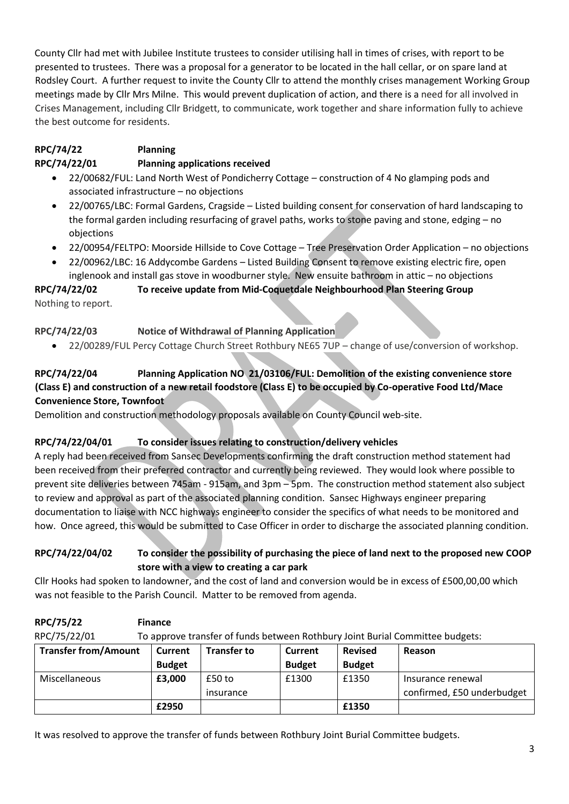County Cllr had met with Jubilee Institute trustees to consider utilising hall in times of crises, with report to be presented to trustees. There was a proposal for a generator to be located in the hall cellar, or on spare land at Rodsley Court. A further request to invite the County Cllr to attend the monthly crises management Working Group meetings made by Cllr Mrs Milne. This would prevent duplication of action, and there is a need for all involved in Crises Management, including Cllr Bridgett, to communicate, work together and share information fully to achieve the best outcome for residents.

# **RPC/74/22 Planning RPC/74/22/01 Planning applications received**

- 22/00682/FUL: Land North West of Pondicherry Cottage construction of 4 No glamping pods and associated infrastructure – no objections
- 22/00765/LBC: Formal Gardens, Cragside Listed building consent for conservation of hard landscaping to the formal garden including resurfacing of gravel paths, works to stone paving and stone, edging – no objections
- 22/00954/FELTPO: Moorside Hillside to Cove Cottage Tree Preservation Order Application no objections
- 22/00962/LBC: 16 Addycombe Gardens Listed Building Consent to remove existing electric fire, open inglenook and install gas stove in woodburner style. New ensuite bathroom in attic – no objections

# **RPC/74/22/02 To receive update from Mid-Coquetdale Neighbourhood Plan Steering Group**

Nothing to report.

# **RPC/74/22/03 Notice of Withdrawal of Planning Application**

• 22/00289/FUL Percy Cottage Church Street Rothbury NE65 7UP – change of use/conversion of workshop.

# **RPC/74/22/04 Planning Application NO 21/03106/FUL: Demolition of the existing convenience store (Class E) and construction of a new retail foodstore (Class E) to be occupied by Co-operative Food Ltd/Mace Convenience Store, Townfoot**

Demolition and construction methodology proposals available on County Council web-site.

# **RPC/74/22/04/01 To consider issues relating to construction/delivery vehicles**

A reply had been received from Sansec Developments confirming the draft construction method statement had been received from their preferred contractor and currently being reviewed. They would look where possible to prevent site deliveries between 745am - 915am, and 3pm – 5pm. The construction method statement also subject to review and approval as part of the associated planning condition. Sansec Highways engineer preparing documentation to liaise with NCC highways engineer to consider the specifics of what needs to be monitored and how. Once agreed, this would be submitted to Case Officer in order to discharge the associated planning condition.

### **RPC/74/22/04/02 To consider the possibility of purchasing the piece of land next to the proposed new COOP store with a view to creating a car park**

Cllr Hooks had spoken to landowner, and the cost of land and conversion would be in excess of £500,00,00 which was not feasible to the Parish Council. Matter to be removed from agenda.

| RPC/75/22                   | <b>Finance</b>                                                                |                    |               |                |                            |  |  |  |
|-----------------------------|-------------------------------------------------------------------------------|--------------------|---------------|----------------|----------------------------|--|--|--|
| RPC/75/22/01                | To approve transfer of funds between Rothbury Joint Burial Committee budgets: |                    |               |                |                            |  |  |  |
| <b>Transfer from/Amount</b> | Current                                                                       | <b>Transfer to</b> | Current       | <b>Revised</b> | Reason                     |  |  |  |
|                             | <b>Budget</b>                                                                 |                    | <b>Budget</b> | <b>Budget</b>  |                            |  |  |  |
| Miscellaneous               | £3,000                                                                        | $£50$ to           | £1300         | £1350          | Insurance renewal          |  |  |  |
|                             |                                                                               | insurance          |               |                | confirmed, £50 underbudget |  |  |  |
|                             | £2950                                                                         |                    |               | £1350          |                            |  |  |  |

It was resolved to approve the transfer of funds between Rothbury Joint Burial Committee budgets.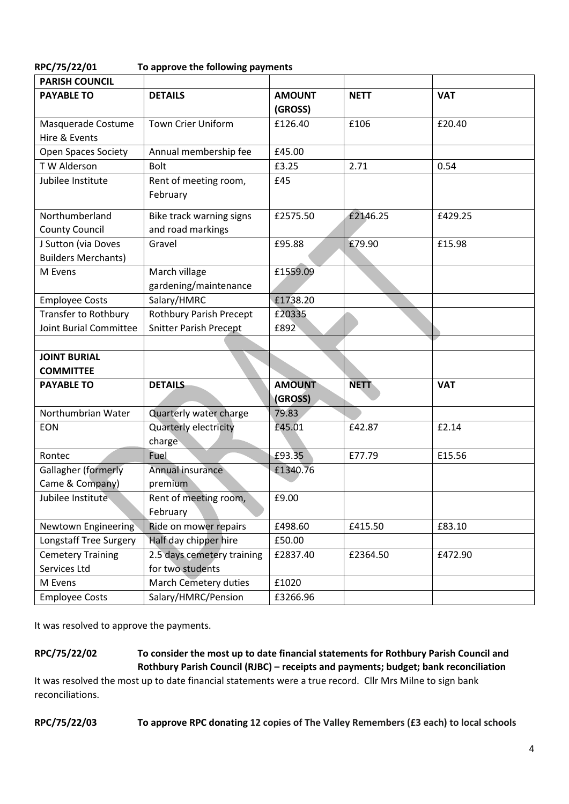| RPC/75/22/01 | To approve the following payments |
|--------------|-----------------------------------|
|              |                                   |

| <b>PARISH COUNCIL</b>                             |                                                |                          |             |            |
|---------------------------------------------------|------------------------------------------------|--------------------------|-------------|------------|
| <b>PAYABLE TO</b>                                 | <b>DETAILS</b>                                 | <b>AMOUNT</b><br>(GROSS) | <b>NETT</b> | <b>VAT</b> |
| Masquerade Costume<br>Hire & Events               | <b>Town Crier Uniform</b>                      | £126.40                  | £106        | £20.40     |
| <b>Open Spaces Society</b>                        | Annual membership fee                          | £45.00                   |             |            |
| T W Alderson                                      | <b>Bolt</b>                                    | £3.25                    | 2.71        | 0.54       |
| Jubilee Institute                                 | Rent of meeting room,<br>February              | £45                      |             |            |
| Northumberland<br><b>County Council</b>           | Bike track warning signs<br>and road markings  | £2575.50                 | £2146.25    | £429.25    |
| J Sutton (via Doves<br><b>Builders Merchants)</b> | Gravel                                         | £95.88                   | £79.90      | £15.98     |
| M Evens                                           | March village<br>gardening/maintenance         | £1559.09                 |             |            |
| <b>Employee Costs</b>                             | Salary/HMRC                                    | £1738.20                 |             |            |
| Transfer to Rothbury                              | <b>Rothbury Parish Precept</b>                 | £20335                   |             |            |
| <b>Joint Burial Committee</b>                     | <b>Snitter Parish Precept</b>                  | £892                     |             |            |
|                                                   |                                                |                          |             |            |
| <b>JOINT BURIAL</b>                               |                                                |                          |             |            |
| <b>COMMITTEE</b>                                  |                                                |                          |             |            |
| <b>PAYABLE TO</b>                                 | <b>DETAILS</b>                                 | <b>AMOUNT</b><br>(GROSS) | <b>NETT</b> | <b>VAT</b> |
| Northumbrian Water                                | Quarterly water charge                         | 79.83                    |             |            |
| EON                                               | Quarterly electricity<br>charge                | £45.01                   | £42.87      | £2.14      |
| Rontec                                            | Fuel                                           | £93.35                   | E77.79      | E15.56     |
| Gallagher (formerly                               | Annual insurance                               | £1340.76                 |             |            |
| Came & Company)                                   | premium                                        |                          |             |            |
| Jubilee Institute                                 | Rent of meeting room,<br>February              | £9.00                    |             |            |
| <b>Newtown Engineering</b>                        | Ride on mower repairs                          | £498.60                  | £415.50     | £83.10     |
| Longstaff Tree Surgery                            | Half day chipper hire                          | £50.00                   |             |            |
| <b>Cemetery Training</b><br>Services Ltd          | 2.5 days cemetery training<br>for two students | £2837.40                 | £2364.50    | £472.90    |
| M Evens                                           | March Cemetery duties                          | £1020                    |             |            |
| <b>Employee Costs</b>                             | Salary/HMRC/Pension                            | £3266.96                 |             |            |

It was resolved to approve the payments.

**RPC/75/22/02 To consider the most up to date financial statements for Rothbury Parish Council and Rothbury Parish Council (RJBC) – receipts and payments; budget; bank reconciliation**

It was resolved the most up to date financial statements were a true record. Cllr Mrs Milne to sign bank reconciliations.

**RPC/75/22/03 To approve RPC donating 12 copies of The Valley Remembers (£3 each) to local schools**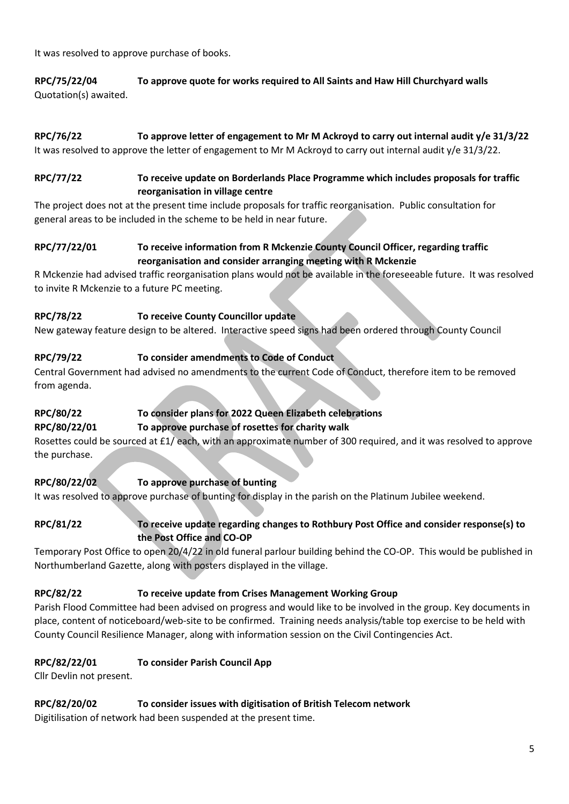It was resolved to approve purchase of books.

**RPC/75/22/04 To approve quote for works required to All Saints and Haw Hill Churchyard walls** Quotation(s) awaited.

# **RPC/76/22 To approve letter of engagement to Mr M Ackroyd to carry out internal audit y/e 31/3/22**

It was resolved to approve the letter of engagement to Mr M Ackroyd to carry out internal audit y/e 31/3/22.

#### **RPC/77/22 To receive update on Borderlands Place Programme which includes proposals for traffic reorganisation in village centre**

The project does not at the present time include proposals for traffic reorganisation. Public consultation for general areas to be included in the scheme to be held in near future.

### **RPC/77/22/01 To receive information from R Mckenzie County Council Officer, regarding traffic reorganisation and consider arranging meeting with R Mckenzie**

R Mckenzie had advised traffic reorganisation plans would not be available in the foreseeable future. It was resolved to invite R Mckenzie to a future PC meeting.

### **RPC/78/22 To receive County Councillor update**

New gateway feature design to be altered. Interactive speed signs had been ordered through County Council

## **RPC/79/22 To consider amendments to Code of Conduct**

Central Government had advised no amendments to the current Code of Conduct, therefore item to be removed from agenda.

# **RPC/80/22 To consider plans for 2022 Queen Elizabeth celebrations**

### **RPC/80/22/01 To approve purchase of rosettes for charity walk**

Rosettes could be sourced at £1/ each, with an approximate number of 300 required, and it was resolved to approve the purchase.

## **RPC/80/22/02 To approve purchase of bunting**

It was resolved to approve purchase of bunting for display in the parish on the Platinum Jubilee weekend.

#### **RPC/81/22 To receive update regarding changes to Rothbury Post Office and consider response(s) to the Post Office and CO-OP**

Temporary Post Office to open 20/4/22 in old funeral parlour building behind the CO-OP. This would be published in Northumberland Gazette, along with posters displayed in the village.

### **RPC/82/22 To receive update from Crises Management Working Group**

Parish Flood Committee had been advised on progress and would like to be involved in the group. Key documents in place, content of noticeboard/web-site to be confirmed. Training needs analysis/table top exercise to be held with County Council Resilience Manager, along with information session on the Civil Contingencies Act.

### **RPC/82/22/01 To consider Parish Council App**

Cllr Devlin not present.

### **RPC/82/20/02 To consider issues with digitisation of British Telecom network**

Digitilisation of network had been suspended at the present time.